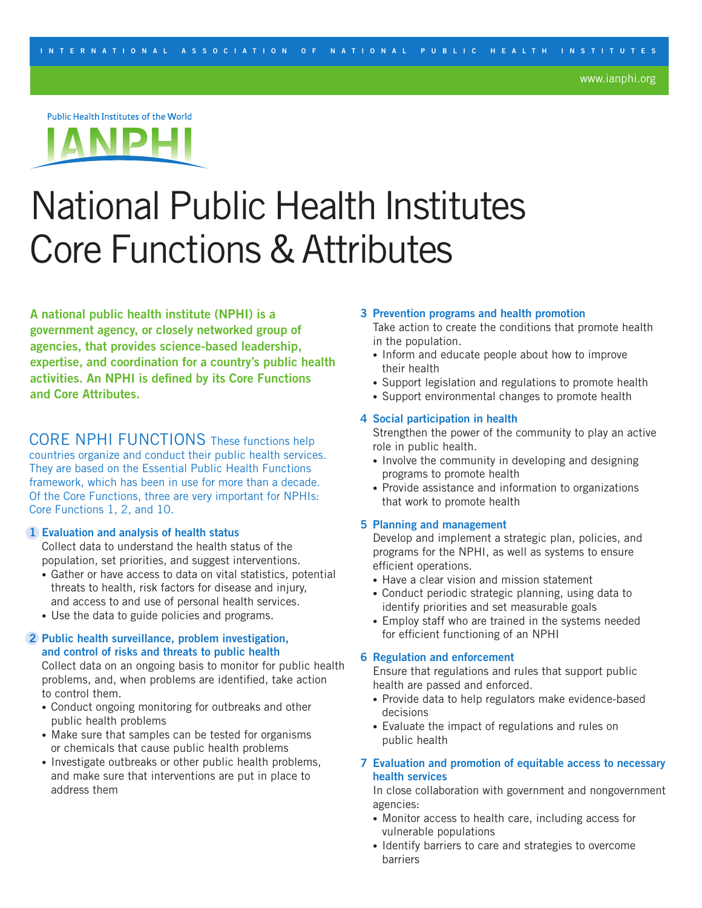Public Health Institutes of the World



# National Public Health Institutes Core Functions & Attributes

**A national public health institute (NPHI) is a government agency, or closely networked group of agencies, that provides science-based leadership, expertise, and coordination for a country's public health activities. An NPHI is defined by its Core Functions and Core Attributes.**

CORE NPHI FUNCTIONS These functions help countries organize and conduct their public health services. They are based on the Essential Public Health Functions framework, which has been in use for more than a decade. Of the Core Functions, three are very important for NPHIs: Core Functions 1, 2, and 10.

## **1 Evaluation and analysis of health status**

Collect data to understand the health status of the population, set priorities, and suggest interventions.

- Gather or have access to data on vital statistics, potential threats to health, risk factors for disease and injury, and access to and use of personal health services.
- Use the data to guide policies and programs.

# **2 Public health surveillance, problem investigation, and control of risks and threats to public health**

Collect data on an ongoing basis to monitor for public health problems, and, when problems are identified, take action to control them.

- Conduct ongoing monitoring for outbreaks and other public health problems
- Make sure that samples can be tested for organisms or chemicals that cause public health problems
- Investigate outbreaks or other public health problems, and make sure that interventions are put in place to address them

#### **3 Prevention programs and health promotion**

 Take action to create the conditions that promote health in the population.

- Inform and educate people about how to improve their health
- Support legislation and regulations to promote health
- Support environmental changes to promote health

## **4 Social participation in health**

 Strengthen the power of the community to play an active role in public health.

- Involve the community in developing and designing programs to promote health
- Provide assistance and information to organizations that work to promote health

## **5 Planning and management**

Develop and implement a strategic plan, policies, and programs for the NPHI, as well as systems to ensure efficient operations.

- Have a clear vision and mission statement
- Conduct periodic strategic planning, using data to identify priorities and set measurable goals
- Employ staff who are trained in the systems needed for efficient functioning of an NPHI

## **6 Regulation and enforcement**

 Ensure that regulations and rules that support public health are passed and enforced.

- Provide data to help regulators make evidence-based decisions
- Evaluate the impact of regulations and rules on public health
- **7 Evaluation and promotion of equitable access to necessary health services**

In close collaboration with government and nongovernment agencies:

- Monitor access to health care, including access for vulnerable populations
- Identify barriers to care and strategies to overcome barriers